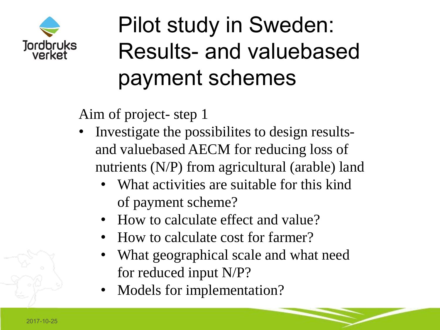

## Pilot study in Sweden: Results- and valuebased payment schemes

Aim of project- step 1

- Investigate the possibilites to design resultsand valuebased AECM for reducing loss of nutrients (N/P) from agricultural (arable) land
	- What activities are suitable for this kind of payment scheme?
	- How to calculate effect and value?
	- How to calculate cost for farmer?
	- What geographical scale and what need for reduced input N/P?
	- Models for implementation?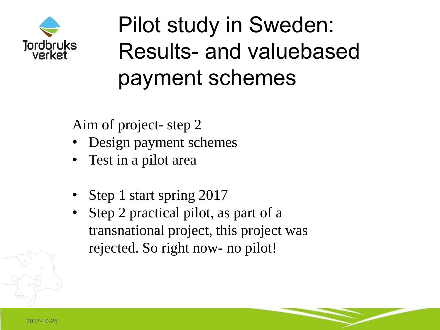

Pilot study in Sweden: Results- and valuebased payment schemes

Aim of project- step 2

- Design payment schemes
- Test in a pilot area
- Step 1 start spring 2017
- Step 2 practical pilot, as part of a transnational project, this project was rejected. So right now- no pilot!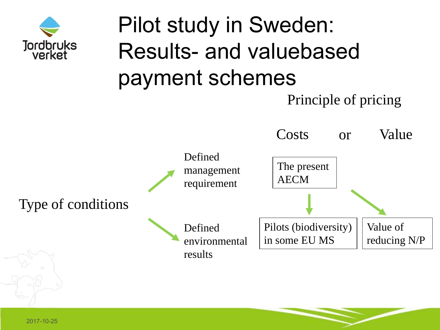

## Pilot study in Sweden: Results- and valuebased payment schemes

Principle of pricing

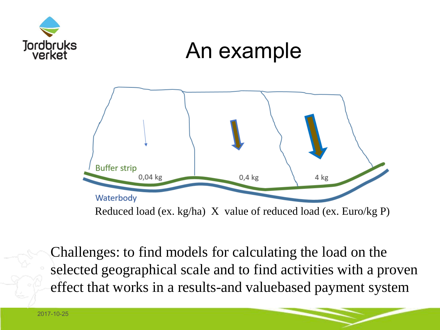

Challenges: to find models for calculating the load on the selected geographical scale and to find activities with a proven effect that works in a results-and valuebased payment system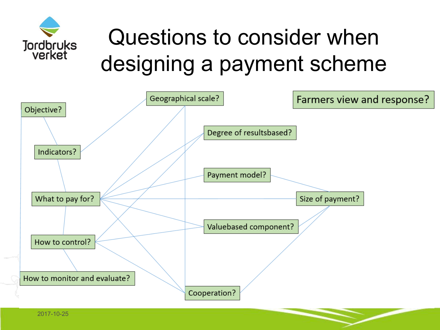

## Questions to consider when designing a payment scheme